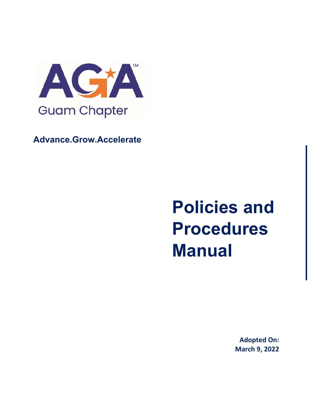

**Advance.Grow.Accelerate**

# **Policies and Procedures Manual**

**Adopted On: March 9, 2022**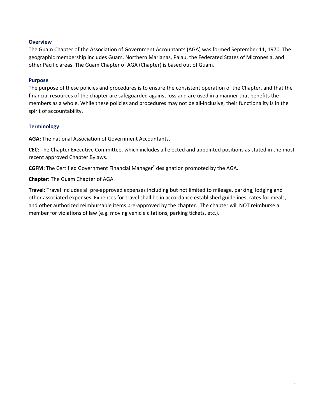#### **Overview**

The Guam Chapter of the Association of Government Accountants (AGA) was formed September 11, 1970. The geographic membership includes Guam, Northern Marianas, Palau, the Federated States of Micronesia, and other Pacific areas. The Guam Chapter of AGA (Chapter) is based out of Guam.

#### **Purpose**

The purpose of these policies and procedures is to ensure the consistent operation of the Chapter, and that the financial resources of the chapter are safeguarded against loss and are used in a manner that benefits the members as a whole. While these policies and procedures may not be all-inclusive, their functionality is in the spirit of accountability.

#### **Terminology**

**AGA:** The national Association of Government Accountants.

**CEC:** The Chapter Executive Committee, which includes all elected and appointed positions as stated in the most recent approved Chapter Bylaws.

**CGFM:** The Certified Government Financial Manager® designation promoted by the AGA.

**Chapter:** The Guam Chapter of AGA.

**Travel:** Travel includes all pre‐approved expenses including but not limited to mileage, parking, lodging and other associated expenses. Expenses for travel shall be in accordance established guidelines, rates for meals, and other authorized reimbursable items pre‐approved by the chapter. The chapter will NOT reimburse a member for violations of law (e.g. moving vehicle citations, parking tickets, etc.).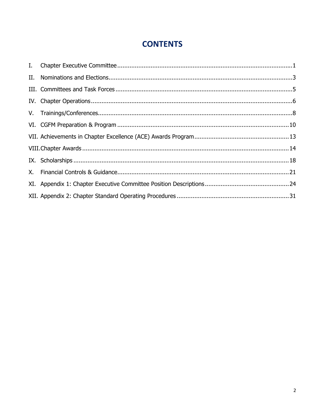## **CONTENTS**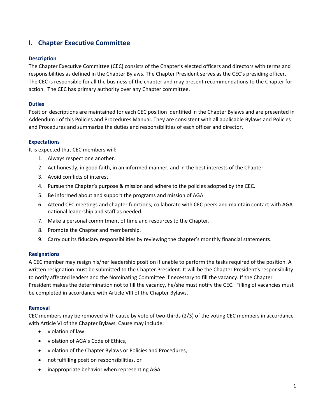## **I. Chapter Executive Committee**

#### **Description**

The Chapter Executive Committee (CEC) consists of the Chapter's elected officers and directors with terms and responsibilities as defined in the Chapter Bylaws. The Chapter President serves as the CEC's presiding officer. The CEC is responsible for all the business of the chapter and may present recommendations to the Chapter for action. The CEC has primary authority over any Chapter committee.

#### **Duties**

Position descriptions are maintained for each CEC position identified in the Chapter Bylaws and are presented in Addendum I of this Policies and Procedures Manual. They are consistent with all applicable Bylaws and Policies and Procedures and summarize the duties and responsibilities of each officer and director.

#### **Expectations**

It is expected that CEC members will:

- 1. Always respect one another.
- 2. Act honestly, in good faith, in an informed manner, and in the best interests of the Chapter.
- 3. Avoid conflicts of interest.
- 4. Pursue the Chapter's purpose & mission and adhere to the policies adopted by the CEC.
- 5. Be informed about and support the programs and mission of AGA.
- 6. Attend CEC meetings and chapter functions; collaborate with CEC peers and maintain contact with AGA national leadership and staff as needed.
- 7. Make a personal commitment of time and resources to the Chapter.
- 8. Promote the Chapter and membership.
- 9. Carry out its fiduciary responsibilities by reviewing the chapter's monthly financial statements.

#### **Resignations**

A CEC member may resign his/her leadership position if unable to perform the tasks required of the position. A written resignation must be submitted to the Chapter President. It will be the Chapter President's responsibility to notify affected leaders and the Nominating Committee if necessary to fill the vacancy. If the Chapter President makes the determination not to fill the vacancy, he/she must notify the CEC. Filling of vacancies must be completed in accordance with Article VIII of the Chapter Bylaws.

#### **Removal**

CEC members may be removed with cause by vote of two‐thirds (2/3) of the voting CEC members in accordance with Article VI of the Chapter Bylaws. Cause may include:

- violation of law
- violation of AGA's Code of Ethics,
- violation of the Chapter Bylaws or Policies and Procedures,
- not fulfilling position responsibilities, or
- inappropriate behavior when representing AGA.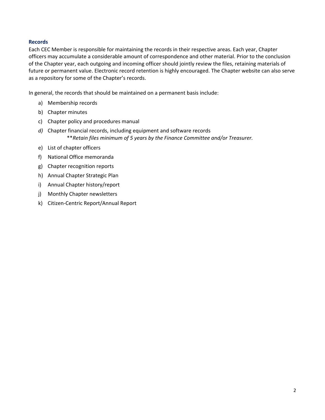#### **Records**

Each CEC Member is responsible for maintaining the records in their respective areas. Each year, Chapter officers may accumulate a considerable amount of correspondence and other material. Prior to the conclusion of the Chapter year, each outgoing and incoming officer should jointly review the files, retaining materials of future or permanent value. Electronic record retention is highly encouraged. The Chapter website can also serve as a repository for some of the Chapter's records.

In general, the records that should be maintained on a permanent basis include:

- a) Membership records
- b) Chapter minutes
- c) Chapter policy and procedures manual
- *d)* Chapter financial records, including equipment and software records \*\**Retain files minimum of 5 years by the Finance Committee and/or Treasurer.*
- e) List of chapter officers
- f) National Office memoranda
- g) Chapter recognition reports
- h) Annual Chapter Strategic Plan
- i) Annual Chapter history/report
- j) Monthly Chapter newsletters
- k) Citizen‐Centric Report/Annual Report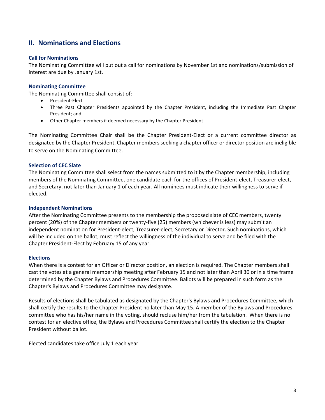## **II. Nominations and Elections**

#### **Call for Nominations**

The Nominating Committee will put out a call for nominations by November 1st and nominations/submission of interest are due by January 1st.

#### **Nominating Committee**

The Nominating Committee shall consist of:

- President-Elect
- Three Past Chapter Presidents appointed by the Chapter President, including the Immediate Past Chapter President; and
- Other Chapter members if deemed necessary by the Chapter President.

The Nominating Committee Chair shall be the Chapter President‐Elect or a current committee director as designated by the Chapter President. Chapter members seeking a chapter officer or director position are ineligible to serve on the Nominating Committee.

#### **Selection of CEC Slate**

The Nominating Committee shall select from the names submitted to it by the Chapter membership, including members of the Nominating Committee, one candidate each for the offices of President‐elect, Treasurer‐elect, and Secretary, not later than January 1 of each year. All nominees must indicate their willingness to serve if elected.

#### **Independent Nominations**

After the Nominating Committee presents to the membership the proposed slate of CEC members, twenty percent (20%) of the Chapter members or twenty‐five (25) members (whichever is less) may submit an independent nomination for President‐elect, Treasurer‐elect, Secretary or Director. Such nominations, which will be included on the ballot, must reflect the willingness of the individual to serve and be filed with the Chapter President‐Elect by February 15 of any year.

#### **Elections**

When there is a contest for an Officer or Director position, an election is required. The Chapter members shall cast the votes at a general membership meeting after February 15 and not later than April 30 or in a time frame determined by the Chapter Bylaws and Procedures Committee. Ballots will be prepared in such form as the Chapter's Bylaws and Procedures Committee may designate.

Results of elections shall be tabulated as designated by the Chapter's Bylaws and Procedures Committee, which shall certify the results to the Chapter President no later than May 15. A member of the Bylaws and Procedures committee who has his/her name in the voting, should recluse him/her from the tabulation. When there is no contest for an elective office, the Bylaws and Procedures Committee shall certify the election to the Chapter President without ballot.

Elected candidates take office July 1 each year.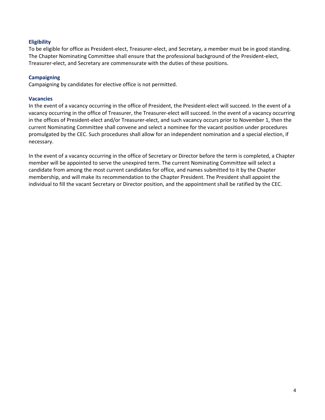#### **Eligibility**

To be eligible for office as President‐elect, Treasurer‐elect, and Secretary, a member must be in good standing. The Chapter Nominating Committee shall ensure that the professional background of the President‐elect, Treasurer‐elect, and Secretary are commensurate with the duties of these positions.

#### **Campaigning**

Campaigning by candidates for elective office is not permitted.

#### **Vacancies**

In the event of a vacancy occurring in the office of President, the President‐elect will succeed. In the event of a vacancy occurring in the office of Treasurer, the Treasurer‐elect will succeed. In the event of a vacancy occurring in the offices of President‐elect and/or Treasurer‐elect, and such vacancy occurs prior to November 1, then the current Nominating Committee shall convene and select a nominee for the vacant position under procedures promulgated by the CEC. Such procedures shall allow for an independent nomination and a special election, if necessary.

In the event of a vacancy occurring in the office of Secretary or Director before the term is completed, a Chapter member will be appointed to serve the unexpired term. The current Nominating Committee will select a candidate from among the most current candidates for office, and names submitted to it by the Chapter membership, and will make its recommendation to the Chapter President. The President shall appoint the individual to fill the vacant Secretary or Director position, and the appointment shall be ratified by the CEC.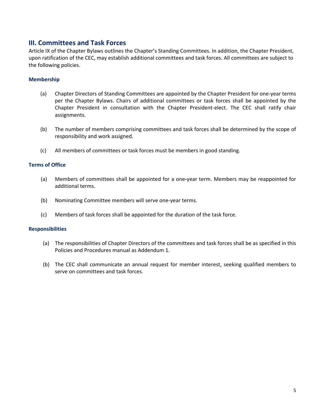### **III. Committees and Task Forces**

Article IX of the Chapter Bylaws outlines the Chapter's Standing Committees. In addition, the Chapter President, upon ratification of the CEC, may establish additional committees and task forces. All committees are subject to the following policies.

#### **Membership**

- (a) Chapter Directors of Standing Committees are appointed by the Chapter President for one‐year terms per the Chapter Bylaws. Chairs of additional committees or task forces shall be appointed by the Chapter President in consultation with the Chapter President‐elect. The CEC shall ratify chair assignments.
- (b) The number of members comprising committees and task forces shall be determined by the scope of responsibility and work assigned.
- (c) All members of committees or task forces must be members in good standing.

#### **Terms of Office**

- (a) Members of committees shall be appointed for a one**‐**year term. Members may be reappointed for additional terms.
- (b) Nominating Committee members will serve one‐year terms.
- (c) Members of task forces shall be appointed for the duration of the task force.

#### **Responsibilities**

- (a) The responsibilities of Chapter Directors of the committees and task forces shall be as specified in this Policies and Procedures manual as Addendum 1.
- (b) The CEC shall communicate an annual request for member interest, seeking qualified members to serve on committees and task forces.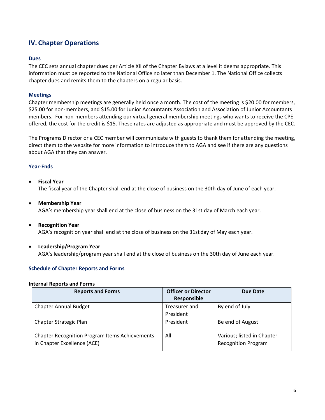## **IV. Chapter Operations**

#### **Dues**

The CEC sets annual chapter dues per Article XII of the Chapter Bylaws at a level it deems appropriate. This information must be reported to the National Office no later than December 1. The National Office collects chapter dues and remits them to the chapters on a regular basis.

#### **Meetings**

Chapter membership meetings are generally held once a month. The cost of the meeting is \$20.00 for members, \$25.00 for non‐members, and \$15.00 for Junior Accountants Association and Association of Junior Accountants members. For non-members attending our virtual general membership meetings who wants to receive the CPE offered, the cost for the credit is \$15. These rates are adjusted as appropriate and must be approved by the CEC.

The Programs Director or a CEC member will communicate with guests to thank them for attending the meeting, direct them to the website for more information to introduce them to AGA and see if there are any questions about AGA that they can answer.

#### **Year‐Ends**

- **Fiscal Year**  The fiscal year of the Chapter shall end at the close of business on the 30th day of June of each year.
- **Membership Year**  AGA's membership year shall end at the close of business on the 31st day of March each year.
- **Recognition Year**  AGA's recognition year shall end at the close of business on the 31st day of May each year.
- **Leadership/Program Year**

AGA's leadership/program year shall end at the close of business on the 30th day of June each year.

#### **Schedule of Chapter Reports and Forms**

#### **Internal Reports and Forms**

| <b>Reports and Forms</b>                              | <b>Officer or Director</b> | Due Date                   |
|-------------------------------------------------------|----------------------------|----------------------------|
|                                                       | Responsible                |                            |
| <b>Chapter Annual Budget</b>                          | Treasurer and              | By end of July             |
|                                                       | President                  |                            |
| Chapter Strategic Plan                                | President                  | Be end of August           |
|                                                       |                            |                            |
| <b>Chapter Recognition Program Items Achievements</b> | All                        | Various; listed in Chapter |
| in Chapter Excellence (ACE)                           |                            | <b>Recognition Program</b> |
|                                                       |                            |                            |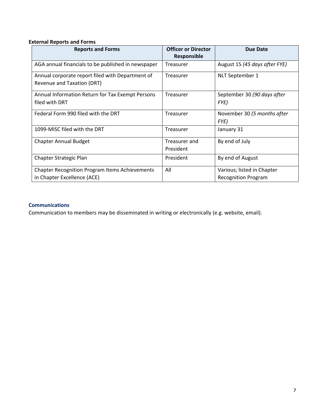#### **External Reports and Forms**

| <b>Reports and Forms</b>                                                             | <b>Officer or Director</b><br><b>Responsible</b> | Due Date                                                 |
|--------------------------------------------------------------------------------------|--------------------------------------------------|----------------------------------------------------------|
| AGA annual financials to be published in newspaper                                   | Treasurer                                        | August 15 (45 days after FYE)                            |
| Annual corporate report filed with Department of<br>Revenue and Taxation (DRT)       | Treasurer                                        | NLT September 1                                          |
| Annual Information Return for Tax Exempt Persons<br>filed with DRT                   | Treasurer                                        | September 30 (90 days after<br>FYE)                      |
| Federal Form 990 filed with the DRT                                                  | Treasurer                                        | November 30 (5 months after<br>FYE)                      |
| 1099-MISC filed with the DRT                                                         | Treasurer                                        | January 31                                               |
| <b>Chapter Annual Budget</b>                                                         | Treasurer and<br>President                       | By end of July                                           |
| Chapter Strategic Plan                                                               | President                                        | By end of August                                         |
| <b>Chapter Recognition Program Items Achievements</b><br>in Chapter Excellence (ACE) | All                                              | Various; listed in Chapter<br><b>Recognition Program</b> |

#### **Communications**

Communication to members may be disseminated in writing or electronically (e.g. website, email).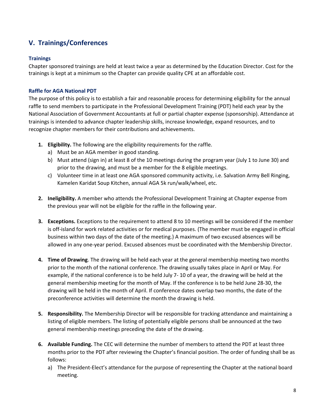## **V. Trainings/Conferences**

#### **Trainings**

Chapter sponsored trainings are held at least twice a year as determined by the Education Director. Cost for the trainings is kept at a minimum so the Chapter can provide quality CPE at an affordable cost.

#### **Raffle for AGA National PDT**

The purpose of this policy is to establish a fair and reasonable process for determining eligibility for the annual raffle to send members to participate in the Professional Development Training (PDT) held each year by the National Association of Government Accountants at full or partial chapter expense (sponsorship). Attendance at trainings is intended to advance chapter leadership skills, increase knowledge, expand resources, and to recognize chapter members for their contributions and achievements.

- **1. Eligibility.** The following are the eligibility requirements for the raffle.
	- a) Must be an AGA member in good standing.
	- b) Must attend (sign in) at least 8 of the 10 meetings during the program year (July 1 to June 30) and prior to the drawing, and must be a member for the 8 eligible meetings.
	- c) Volunteer time in at least one AGA sponsored community activity, i.e. Salvation Army Bell Ringing, Kamelen Karidat Soup Kitchen, annual AGA 5k run/walk/wheel, etc.
- **2. Ineligibility.** A member who attends the Professional Development Training at Chapter expense from the previous year will not be eligible for the raffle in the following year.
- **3. Exceptions.** Exceptions to the requirement to attend 8 to 10 meetings will be considered if the member is off‐island for work related activities or for medical purposes. (The member must be engaged in official business within two days of the date of the meeting.) A maximum of two excused absences will be allowed in any one‐year period. Excused absences must be coordinated with the Membership Director.
- **4. Time of Drawing**. The drawing will be held each year at the general membership meeting two months prior to the month of the national conference. The drawing usually takes place in April or May. For example, if the national conference is to be held July 7‐ 10 of a year, the drawing will be held at the general membership meeting for the month of May. If the conference is to be held June 28‐30, the drawing will be held in the month of April. If conference dates overlap two months, the date of the preconference activities will determine the month the drawing is held.
- **5. Responsibility.** The Membership Director will be responsible for tracking attendance and maintaining a listing of eligible members. The listing of potentially eligible persons shall be announced at the two general membership meetings preceding the date of the drawing.
- **6. Available Funding.** The CEC will determine the number of members to attend the PDT at least three months prior to the PDT after reviewing the Chapter's financial position. The order of funding shall be as follows:
	- a) The President‐Elect's attendance for the purpose of representing the Chapter at the national board meeting.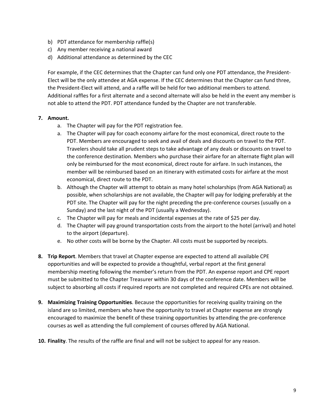- b) PDT attendance for membership raffle(s)
- c) Any member receiving a national award
- d) Additional attendance as determined by the CEC

For example, if the CEC determines that the Chapter can fund only one PDT attendance, the President‐ Elect will be the only attendee at AGA expense. If the CEC determines that the Chapter can fund three, the President‐Elect will attend, and a raffle will be held for two additional members to attend. Additional raffles for a first alternate and a second alternate will also be held in the event any member is not able to attend the PDT. PDT attendance funded by the Chapter are not transferable.

#### **7. Amount.**

- a. The Chapter will pay for the PDT registration fee.
- a. The Chapter will pay for coach economy airfare for the most economical, direct route to the PDT. Members are encouraged to seek and avail of deals and discounts on travel to the PDT. Travelers should take all prudent steps to take advantage of any deals or discounts on travel to the conference destination. Members who purchase their airfare for an alternate flight plan will only be reimbursed for the most economical, direct route for airfare. In such instances, the member will be reimbursed based on an itinerary with estimated costs for airfare at the most economical, direct route to the PDT.
- b. Although the Chapter will attempt to obtain as many hotel scholarships (from AGA National) as possible, when scholarships are not available, the Chapter will pay for lodging preferably at the PDT site. The Chapter will pay for the night preceding the pre-conference courses (usually on a Sunday) and the last night of the PDT (usually a Wednesday).
- c. The Chapter will pay for meals and incidental expenses at the rate of \$25 per day.
- d. The Chapter will pay ground transportation costs from the airport to the hotel (arrival) and hotel to the airport (departure).
- e. No other costs will be borne by the Chapter. All costs must be supported by receipts.
- **8. Trip Report**. Members that travel at Chapter expense are expected to attend all available CPE opportunities and will be expected to provide a thoughtful, verbal report at the first general membership meeting following the member's return from the PDT. An expense report and CPE report must be submitted to the Chapter Treasurer within 30 days of the conference date. Members will be subject to absorbing all costs if required reports are not completed and required CPEs are not obtained.
- **9. Maximizing Training Opportunities**. Because the opportunities for receiving quality training on the island are so limited, members who have the opportunity to travel at Chapter expense are strongly encouraged to maximize the benefit of these training opportunities by attending the pre‐conference courses as well as attending the full complement of courses offered by AGA National.
- **10. Finality**. The results of the raffle are final and will not be subject to appeal for any reason.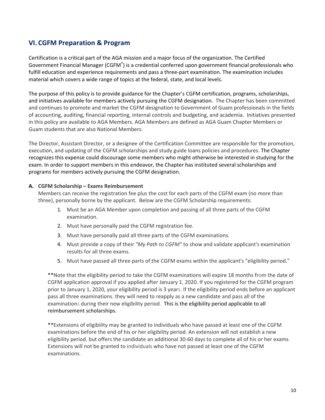## **VI. CGFM Preparation & Program**

Certification is a critical part of the AGA mission and a major focus of the organization. The Certified Government Financial Manager (CGFM<sup>®</sup>) is a credential conferred upon government financial professionals who fulfill education and experience requirements and pass a three‐part examination. The examination includes material which covers a wide range of topics at the federal, state, and local levels.

The purpose of this policy is to provide guidance for the Chapter's CGFM certification, programs, scholarships, and initiatives available for members actively pursuing the CGFM designation. The Chapter has been committed and continues to promote and market the CGFM designation to Government of Guam professionals in the fields of accounting, auditing, financial reporting, internal controls and budgeting, and academia. Initiatives presented in this policy are available to AGA Members. AGA Members are defined as AGA Guam Chapter Members or Guam students that are also National Members.

The Director, Assistant Director, or a designee of the Certification Committee are responsible for the promotion, execution, and updating of the CGFM scholarships and study guide loans policies and procedures. The Chapter recognizes this expense could discourage some members who might otherwise be interested in studying for the exam. In order to support members in this endeavor, the Chapter has instituted several scholarships and programs for members actively pursuing the CGFM designation.

#### **A. CGFM Scholarship – Exams Reimbursement**

Members can receive the registration fee plus the cost for each parts of the CGFM exam (no more than three), personally borne by the applicant. Below are the CGFM Scholarship requirements:

- 1. Must be an AGA Member upon completion and passing of all three parts of the CGFM examination.
- 2. Must have personally paid the CGFM registration fee.
- 3. Must have personally paid all three parts of the CGFM examinations.
- 4. Must provide a copy of their *"My Path to CGFM"* to show and validate applicant's examination results for all three exams.
- 5. Must have passed all three parts of the CGFM exams within the applicant's "eligibility period."

\*\*Note that the eligibility period to take the CGFM examinations will expire 18 months from the date of CGFM application approval if you applied after January 1, 2020. If you registered for the CGFM program prior to January 1, 2020, your eligibility period is 3 years. If the eligibility period ends before an applicant pass all three examinations. they will need to reapply as a new candidate and pass all of the examinations during their new eligibility period. This is the eligibility period applicable to all reimbursement scholarships.

\*\*Extensions of eligibility may be granted to individuals who have passed at least one of the CGFM examinations before the end of his or her eligibility period. An extension will not establish a new eligibility period, but offers the candidate an additional 30‐60 days to complete all of his or her exams. Extensions will not be granted to individuals who have not passed at least one of the CGFM examinations.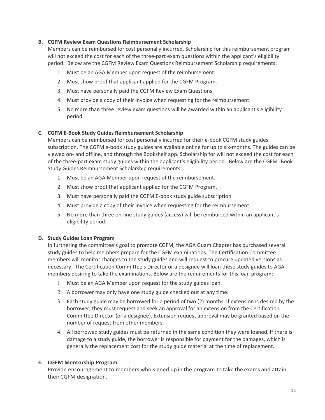#### **B. CGFM Review Exam Questions Reimbursement Scholarship**

Members can be reimbursed for cost personally incurred. Scholarship for this reimbursement program will not exceed the cost for each of the three-part exam questions within the applicant's eligibility period. Below are the CGFM Review Exam Questions Reimbursement Scholarship requirements:

- 1. Must be an AGA Member upon request of the reimbursement.
- 2. Must show proof that applicant applied for the CGFM Program.
- 3. Must have personally paid the CGFM Review Exam Questions.
- 4. Must provide a copy of their invoice when requesting for the reimbursement.
- 5. No more than three review exam questions will be awarded within an applicant's eligibility period.

#### **C. CGFM E‐Book Study Guides Reimbursement Scholarship**

Members can be reimbursed for cost personally incurred for their e‐book CGFM study guides subscription. The CGFM e-book study guides are available online for up to six-months. The guides can be viewed on‐ and offline, and through the Bookshelf app. Scholarship for will not exceed the cost for each of the three‐part exam study guides within the applicant's eligibility period. Below are the CGFM ‐Book Study Guides Reimbursement Scholarship requirements:

- 1. Must be an AGA Member upon request of the reimbursement.
- 2. Must show proof that applicant applied for the CGFM Program.
- 3. Must have personally paid the CGFM E‐book study guide subscription.
- 4. Must provide a copy of their invoice when requesting for the reimbursement.
- 5. No more than three on-line study guides (access) will be reimbursed within an applicant's eligibility period.

#### **D. Study Guides Loan Program**

In furthering the committee's goal to promote CGFM, the AGA Guam Chapter has purchased several study guides to help members prepare for the CGFM examinations. The Certification Committee members will monitor changes to the study guides and will request to procure updated versions as necessary. The Certification Committee's Director or a designee will loan these study guides to AGA members desiring to take the examinations. Below are the requirements for this loan program:

- 1. Must be an AGA Member upon request for the study guides loan.
- 2. A borrower may only have one study guide checked out at any time.
- 3. Each study guide may be borrowed for a period of two (2) months. If extension is desired by the borrower, they must request and seek an approval for an extension from the Certification Committee Director (or a designee). Extension request approval may be granted based on the number of request from other members.
- 4. All borrowed study guides must be returned in the same condition they were loaned. If there is damage to a study guide, the borrower is responsible for payment for the damages, which is generally the replacement cost for the study guide material at the time of replacement.

#### **E. CGFM Mentorship Program**

Provide encouragement to members who signed up in the program to take the exams and attain their CGFM designation.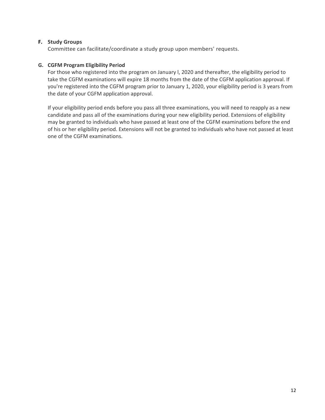#### **F. Study Groups**

Committee can facilitate/coordinate a study group upon members' requests.

#### **G. CGFM Program Eligibility Period**

For those who registered into the program on January l, 2020 and thereafter, the eligibility period to take the CGFM examinations will expire 18 months from the date of the CGFM application approval. If you're registered into the CGFM program prior to January 1, 2020, your eligibility period is 3 years from the date of your CGFM application approval.

If your eligibility period ends before you pass all three examinations, you will need to reapply as a new candidate and pass all of the examinations during your new eligibility period. Extensions of eligibility may be granted to individuals who have passed at least one of the CGFM examinations before the end of his or her eligibility period. Extensions will not be granted to individuals who have not passed at least one of the CGFM examinations.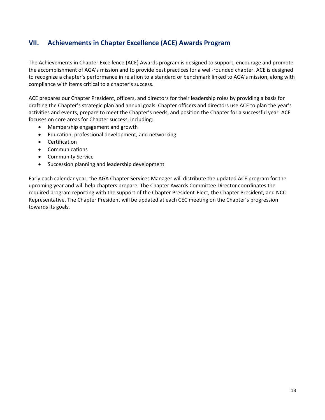## **VII. Achievements in Chapter Excellence (ACE) Awards Program**

The Achievements in Chapter Excellence (ACE) Awards program is designed to support, encourage and promote the accomplishment of AGA's mission and to provide best practices for a well-rounded chapter. ACE is designed to recognize a chapter's performance in relation to a standard or benchmark linked to AGA's mission, along with compliance with items critical to a chapter's success.

ACE prepares our Chapter President, officers, and directors for their leadership roles by providing a basis for drafting the Chapter's strategic plan and annual goals. Chapter officers and directors use ACE to plan the year's activities and events, prepare to meet the Chapter's needs, and position the Chapter for a successful year. ACE focuses on core areas for Chapter success, including:

- Membership engagement and growth
- Education, professional development, and networking
- Certification
- Communications
- **•** Community Service
- Succession planning and leadership development

Early each calendar year, the AGA Chapter Services Manager will distribute the updated ACE program for the upcoming year and will help chapters prepare. The Chapter Awards Committee Director coordinates the required program reporting with the support of the Chapter President‐Elect, the Chapter President, and NCC Representative. The Chapter President will be updated at each CEC meeting on the Chapter's progression towards its goals.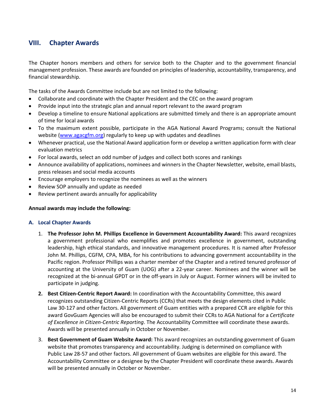## **VIII. Chapter Awards**

The Chapter honors members and others for service both to the Chapter and to the government financial management profession. These awards are founded on principles of leadership, accountability, transparency, and financial stewardship.

The tasks of the Awards Committee include but are not limited to the following:

- Collaborate and coordinate with the Chapter President and the CEC on the award program
- Provide input into the strategic plan and annual report relevant to the award program
- Develop a timeline to ensure National applications are submitted timely and there is an appropriate amount of time for local awards
- To the maximum extent possible, participate in the AGA National Award Programs; consult the National website (www.agacgfm.org) regularly to keep up with updates and deadlines
- Whenever practical, use the National Award application form or develop a written application form with clear evaluation metrics
- For local awards, select an odd number of judges and collect both scores and rankings
- Announce availability of applications, nominees and winners in the Chapter Newsletter, website, email blasts, press releases and social media accounts
- Encourage employers to recognize the nominees as well as the winners
- Review SOP annually and update as needed
- Review pertinent awards annually for applicability

#### **Annual awards may include the following:**

#### **A. Local Chapter Awards**

- 1. **The Professor John M. Phillips Excellence in Government Accountability Award:** This award recognizes a government professional who exemplifies and promotes excellence in government, outstanding leadership, high ethical standards, and innovative management procedures. It is named after Professor John M. Phillips, CGFM, CPA, MBA, for his contributions to advancing government accountability in the Pacific region. Professor Phillips was a charter member of the Chapter and a retired tenured professor of accounting at the University of Guam (UOG) after a 22‐year career. Nominees and the winner will be recognized at the bi‐annual GPDT or in the off‐years in July or August. Former winners will be invited to participate in judging.
- **2. Best Citizen‐Centric Report Award:** In coordination with the Accountability Committee, this award recognizes outstanding Citizen‐Centric Reports (CCRs) that meets the design elements cited in Public Law 30-127 and other factors. All government of Guam entities with a prepared CCR are eligible for this award GovGuam Agencies will also be encouraged to submit their CCRs to AGA National for a *Certificate of Excellence in Citizen‐Centric Reporting*. The Accountability Committee will coordinate these awards. Awards will be presented annually in October or November.
- 3. **Best Government of Guam Website Award:** This award recognizes an outstanding government of Guam website that promotes transparency and accountability. Judging is determined on compliance with Public Law 28‐57 and other factors. All government of Guam websites are eligible for this award. The Accountability Committee or a designee by the Chapter President will coordinate these awards. Awards will be presented annually in October or November.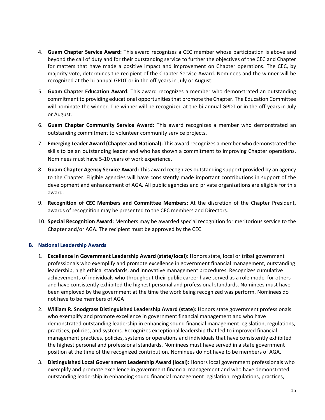- 4. **Guam Chapter Service Award:** This award recognizes a CEC member whose participation is above and beyond the call of duty and for their outstanding service to further the objectives of the CEC and Chapter for matters that have made a positive impact and improvement on Chapter operations. The CEC, by majority vote, determines the recipient of the Chapter Service Award. Nominees and the winner will be recognized at the bi-annual GPDT or in the off-years in July or August.
- 5. **Guam Chapter Education Award:** This award recognizes a member who demonstrated an outstanding commitment to providing educational opportunities that promote the Chapter. The Education Committee will nominate the winner. The winner will be recognized at the bi-annual GPDT or in the off-years in July or August.
- 6. **Guam Chapter Community Service Award:**  This award recognizes a member who demonstrated an outstanding commitment to volunteer community service projects.
- 7. **Emerging Leader Award (Chapter and National):** This award recognizes a member who demonstrated the skills to be an outstanding leader and who has shown a commitment to improving Chapter operations. Nominees must have 5‐10 years of work experience.
- 8. **Guam Chapter Agency Service Award:** This award recognizes outstanding support provided by an agency to the Chapter. Eligible agencies will have consistently made important contributions in support of the development and enhancement of AGA. All public agencies and private organizations are eligible for this award.
- 9. **Recognition of CEC Members and Committee Members:**  At the discretion of the Chapter President, awards of recognition may be presented to the CEC members and Directors.
- 10. **Special Recognition Award:** Members may be awarded special recognition for meritorious service to the Chapter and/or AGA. The recipient must be approved by the CEC.

#### **B. National Leadership Awards**

- 1. **Excellence in Government Leadership Award (state/local):** Honors state, local or tribal government professionals who exemplify and promote excellence in government financial management, outstanding leadership, high ethical standards, and innovative management procedures. Recognizes cumulative achievements of individuals who throughout their public career have served as a role model for others and have consistently exhibited the highest personal and professional standards. Nominees must have been employed by the government at the time the work being recognized was perform. Nominees do not have to be members of AGA
- 2. **William R. Snodgrass Distinguished Leadership Award (state):** Honors state government professionals who exemplify and promote excellence in government financial management and who have demonstrated outstanding leadership in enhancing sound financial management legislation, regulations, practices, policies, and systems. Recognizes exceptional leadership that led to improved financial management practices, policies, systems or operations and individuals that have consistently exhibited the highest personal and professional standards. Nominees must have served in a state government position at the time of the recognized contribution. Nominees do not have to be members of AGA.
- 3. **Distinguished Local Government Leadership Award (local):** Honors local government professionals who exemplify and promote excellence in government financial management and who have demonstrated outstanding leadership in enhancing sound financial management legislation, regulations, practices,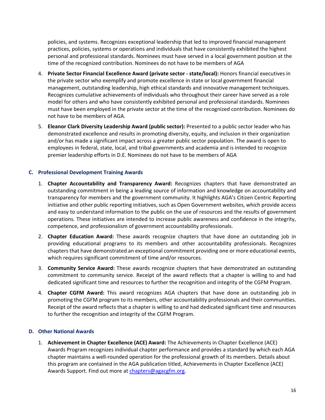policies, and systems. Recognizes exceptional leadership that led to improved financial management practices, policies, systems or operations and individuals that have consistently exhibited the highest personal and professional standards. Nominees must have served in a local government position at the time of the recognized contribution. Nominees do not have to be members of AGA

- 4. **Private Sector Financial Excellence Award (private sector ‐ state/local):** Honors financial executives in the private sector who exemplify and promote excellence in state or local government financial management, outstanding leadership, high ethical standards and innovative management techniques. Recognizes cumulative achievements of individuals who throughout their career have served as a role model for others and who have consistently exhibited personal and professional standards. Nominees must have been employed in the private sector at the time of the recognized contribution. Nominees do not have to be members of AGA.
- 5. **Eleanor Clark Diversity Leadership Award (public sector):** Presented to a public sector leader who has demonstrated excellence and results in promoting diversity, equity, and inclusion in their organization and/or has made a significant impact across a greater public sector population. The award is open to employees in federal, state, local, and tribal governments and academia and is intended to recognize premier leadership efforts in D.E. Nominees do not have to be members of AGA

#### **C. Professional Development Training Awards**

- 1. **Chapter Accountability and Transparency Award:** Recognizes chapters that have demonstrated an outstanding commitment in being a leading source of information and knowledge on accountability and transparency for members and the government community. It highlights AGA's Citizen Centric Reporting initiative and other public reporting initiatives, such as Open Government websites, which provide access and easy to understand information to the public on the use of resources and the results of government operations. These initiatives are intended to increase public awareness and confidence in the integrity, competence, and professionalism of government accountability professionals.
- 2. **Chapter Education Award:** These awards recognize chapters that have done an outstanding job in providing educational programs to its members and other accountability professionals. Recognizes chapters that have demonstrated an exceptional commitment providing one or more educational events, which requires significant commitment of time and/or resources.
- 3. **Community Service Award:** These awards recognize chapters that have demonstrated an outstanding commitment to community service. Receipt of the award reflects that a chapter is willing to and had dedicated significant time and resources to further the recognition and integrity of the CGFM Program.
- 4. **Chapter CGFM Award:** This award recognizes AGA chapters that have done an outstanding job in promoting the CGFM program to its members, other accountability professionals and their communities. Receipt of the award reflects that a chapter is willing to and had dedicated significant time and resources to further the recognition and integrity of the CGFM Program.

#### **D. Other National Awards**

1. **Achievement in Chapter Excellence (ACE) Award:** The Achievements in Chapter Excellence (ACE) Awards Program recognizes individual chapter performance and provides a standard by which each AGA chapter maintains a well‐rounded operation for the professional growth of its members. Details about this program are contained in the AGA publication titled, Achievements in Chapter Excellence (ACE) Awards Support. Find out more at chapters@agacgfm.org.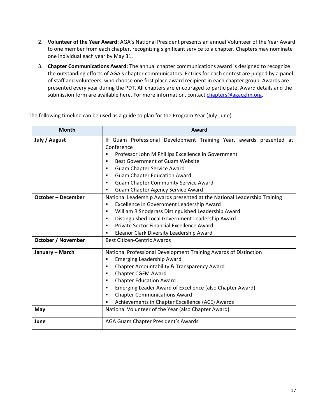- 2. **Volunteer of the Year Award:** AGA's National President presents an annual Volunteer of the Year Award to one member from each chapter, recognizing significant service to a chapter. Chapters may nominate one individual each year by May 31.
- 3. **Chapter Communications Award:** The annual chapter communications award is designed to recognize the outstanding efforts of AGA's chapter communicators. Entries for each contest are judged by a panel of staff and volunteers, who choose one first place award recipient in each chapter group. Awards are presented every year during the PDT. All chapters are encouraged to participate. Award details and the submission form are available here. For more information, contact chapters@agacgfm.org.

| <b>Month</b>                                           | Award                                                                                                                                                                                                                                                                                                                                                                                                                                                               |  |  |  |  |
|--------------------------------------------------------|---------------------------------------------------------------------------------------------------------------------------------------------------------------------------------------------------------------------------------------------------------------------------------------------------------------------------------------------------------------------------------------------------------------------------------------------------------------------|--|--|--|--|
| July / August                                          | If Guam Professional Development Training Year, awards presented at<br>Conference<br>Professor John M Phillips Excellence in Government<br>П<br><b>Best Government of Guam Website</b><br>п<br><b>Guam Chapter Service Award</b><br>٠<br><b>Guam Chapter Education Award</b><br>٠<br><b>Guam Chapter Community Service Award</b><br>٠                                                                                                                               |  |  |  |  |
| <b>October - December</b><br><b>October / November</b> | <b>Guam Chapter Agency Service Award</b><br>٠<br>National Leadership Awards presented at the National Leadership Training<br>Excellence in Government Leadership Award<br>٠<br>William R Snodgrass Distinguished Leadership Award<br>$\blacksquare$<br>Distinguished Local Government Leadership Award<br>٠<br>Private Sector Financial Excellence Award<br>$\blacksquare$<br>Eleanor Clark Diversity Leadership Award<br>٠<br><b>Best Citizen-Centric Awards</b>   |  |  |  |  |
| January - March<br>May                                 | National Professional Development Training Awards of Distinction<br><b>Emerging Leadership Award</b><br>п<br>Chapter Accountability & Transparency Award<br>٠<br>Chapter CGFM Award<br>٠<br><b>Chapter Education Award</b><br>٠<br>Emerging Leader Award of Excellence (also Chapter Award)<br>٠<br><b>Chapter Communications Award</b><br>$\blacksquare$<br>Achievements in Chapter Excellence (ACE) Awards<br>National Volunteer of the Year (also Chapter Award) |  |  |  |  |
| June                                                   | AGA Guam Chapter President's Awards                                                                                                                                                                                                                                                                                                                                                                                                                                 |  |  |  |  |

The following timeline can be used as a guide to plan for the Program Year (July‐June)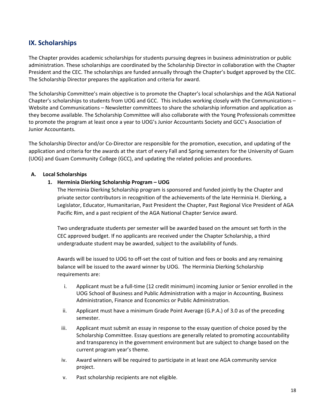## **IX. Scholarships**

The Chapter provides academic scholarships for students pursuing degrees in business administration or public administration. These scholarships are coordinated by the Scholarship Director in collaboration with the Chapter President and the CEC. The scholarships are funded annually through the Chapter's budget approved by the CEC. The Scholarship Director prepares the application and criteria for award.

The Scholarship Committee's main objective is to promote the Chapter's local scholarships and the AGA National Chapter's scholarships to students from UOG and GCC. This includes working closely with the Communications – Website and Communications – Newsletter committees to share the scholarship information and application as they become available. The Scholarship Committee will also collaborate with the Young Professionals committee to promote the program at least once a year to UOG's Junior Accountants Society and GCC's Association of Junior Accountants.

The Scholarship Director and/or Co‐Director are responsible for the promotion, execution, and updating of the application and criteria for the awards at the start of every Fall and Spring semesters for the University of Guam (UOG) and Guam Community College (GCC), and updating the related policies and procedures.

#### **A. Local Scholarships**

#### **1. Herminia Dierking Scholarship Program – UOG**

The Herminia Dierking Scholarship program is sponsored and funded jointly by the Chapter and private sector contributors in recognition of the achievements of the late Herminia H. Dierking, a Legislator, Educator, Humanitarian, Past President the Chapter, Past Regional Vice President of AGA Pacific Rim, and a past recipient of the AGA National Chapter Service award.

Two undergraduate students per semester will be awarded based on the amount set forth in the CEC approved budget. If no applicants are received under the Chapter Scholarship, a third undergraduate student may be awarded, subject to the availability of funds.

Awards will be issued to UOG to off‐set the cost of tuition and fees or books and any remaining balance will be issued to the award winner by UOG. The Herminia Dierking Scholarship requirements are:

- i. Applicant must be a full‐time (12 credit minimum) incoming Junior or Senior enrolled in the UOG School of Business and Public Administration with a major in Accounting, Business Administration, Finance and Economics or Public Administration.
- ii. Applicant must have a minimum Grade Point Average (G.P.A.) of 3.0 as of the preceding semester.
- iii. Applicant must submit an essay in response to the essay question of choice posed by the Scholarship Committee. Essay questions are generally related to promoting accountability and transparency in the government environment but are subject to change based on the current program year's theme.
- iv. Award winners will be required to participate in at least one AGA community service project.
- v. Past scholarship recipients are not eligible.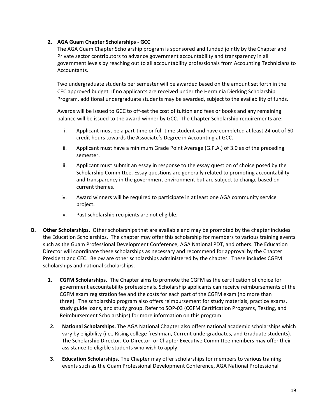#### **2. AGA Guam Chapter Scholarships ‐ GCC**

The AGA Guam Chapter Scholarship program is sponsored and funded jointly by the Chapter and Private sector contributors to advance government accountability and transparency in all government levels by reaching out to all accountability professionals from Accounting Technicians to Accountants.

Two undergraduate students per semester will be awarded based on the amount set forth in the CEC approved budget. If no applicants are received under the Herminia Dierking Scholarship Program, additional undergraduate students may be awarded, subject to the availability of funds.

Awards will be issued to GCC to off-set the cost of tuition and fees or books and any remaining balance will be issued to the award winner by GCC. The Chapter Scholarship requirements are:

- i. Applicant must be a part-time or full-time student and have completed at least 24 out of 60 credit hours towards the Associate's Degree in Accounting at GCC.
- ii. Applicant must have a minimum Grade Point Average (G.P.A.) of 3.0 as of the preceding semester.
- iii. Applicant must submit an essay in response to the essay question of choice posed by the Scholarship Committee. Essay questions are generally related to promoting accountability and transparency in the government environment but are subject to change based on current themes.
- iv. Award winners will be required to participate in at least one AGA community service project.
- v. Past scholarship recipients are not eligible.
- **B.** Other Scholarships. Other scholarships that are available and may be promoted by the chapter includes the Education Scholarships. The chapter may offer this scholarship for members to various training events such as the Guam Professional Development Conference, AGA National PDT, and others. The Education Director will coordinate these scholarships as necessary and recommend for approval by the Chapter President and CEC. Below are other scholarships administered by the chapter. These includes CGFM scholarships and national scholarships.
	- **1. CGFM Scholarships.** The Chapter aims to promote the CGFM as the certification of choice for government accountability professionals. Scholarship applicants can receive reimbursements of the CGFM exam registration fee and the costs for each part of the CGFM exam (no more than three). The scholarship program also offers reimbursement for study materials, practice exams, study guide loans, and study group. Refer to SOP‐03 (CGFM Certification Programs, Testing, and Reimbursement Scholarships) for more information on this program.
	- **2. National Scholarships.** The AGA National Chapter also offers national academic scholarships which vary by eligibility (i.e., Rising college freshman, Current undergraduates, and Graduate students). The Scholarship Director, Co‐Director, or Chapter Executive Committee members may offer their assistance to eligible students who wish to apply.
	- **3. Education Scholarships.** The Chapter may offer scholarships for members to various training events such as the Guam Professional Development Conference, AGA National Professional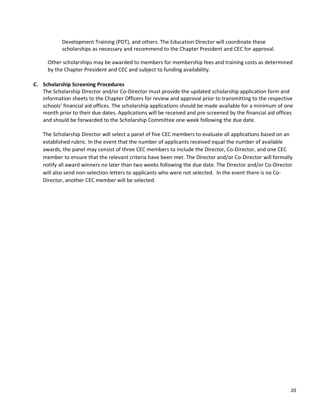Development Training (PDT), and others. The Education Director will coordinate these scholarships as necessary and recommend to the Chapter President and CEC for approval.

Other scholarships may be awarded to members for membership fees and training costs as determined by the Chapter President and CEC and subject to funding availability.

#### **C. Scholarship Screening Procedures**

The Scholarship Director and/or Co‐Director must provide the updated scholarship application form and information sheets to the Chapter Officers for review and approval prior to transmitting to the respective schools' financial aid offices. The scholarship applications should be made available for a minimum of one month prior to their due dates. Applications will be received and pre‐screened by the financial aid offices and should be forwarded to the Scholarship Committee one week following the due date.

The Scholarship Director will select a panel of five CEC members to evaluate all applications based on an established rubric. In the event that the number of applicants received equal the number of available awards, the panel may consist of three CEC members to include the Director, Co‐Director, and one CEC member to ensure that the relevant criteria have been met. The Director and/or Co-Director will formally notify all award winners no later than two weeks following the due date. The Director and/or Co‐Director will also send non-selection letters to applicants who were not selected. In the event there is no Co-Director, another CEC member will be selected.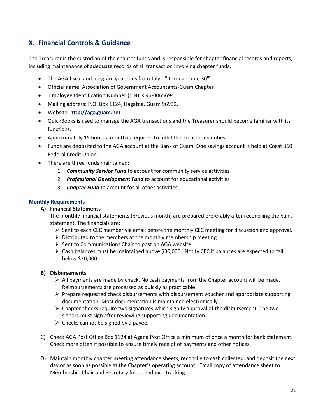## **X. Financial Controls & Guidance**

The Treasurer is the custodian of the chapter funds and is responsible for chapter financial records and reports, including maintenance of adequate records of all transaction involving chapter funds.

- The AGA fiscal and program year runs from July  $1<sup>st</sup>$  through June 30<sup>th</sup>.
- Official name: Association of Government Accountants‐Guam Chapter
- Employee Identification Number (EIN) is 96‐0065694.
- Mailing address: P.O. Box 1124, Hagatna, Guam 96932.
- Website: **http://aga.guam.net**
- QuickBooks is used to manage the AGA transactions and the Treasurer should become familiar with its functions.
- Approximately 15 hours a month is required to fulfill the Treasurer's duties.
- Funds are deposited to the AGA account at the Bank of Guam. One savings account is held at Coast 360 Federal Credit Union.
- There are three funds maintained:
	- 1. *Community Service Fund* to account for community service activities
	- 2. *Professional Development Fund* to account for educational activities
	- 3. *Chapter Fund* to account for all other activities

#### **Monthly Requirements**

#### **A) Financial Statements**

The monthly financial statements (previous month) are prepared preferably after reconciling the bank statement. The financials are:

- $\triangleright$  Sent to each CEC member via email before the monthly CEC meeting for discussion and approval.
- $\triangleright$  Distributed to the members at the monthly membership meeting.
- $\triangleright$  Sent to Communications Chair to post on AGA website.
- $\triangleright$  Cash balances must be maintained above \$30,000. Notify CEC if balances are expected to fall below \$30,000.

#### **B) Disbursements**

- $\triangleright$  All payments are made by check. No cash payments from the Chapter account will be made. Reimbursements are processed as quickly as practicable.
- $\triangleright$  Prepare requested check disbursements with disbursement voucher and appropriate supporting documentation. Most documentation is maintained electronically.
- $\triangleright$  Chapter checks require two signatures which signify approval of the disbursement. The two signors must sign after reviewing supporting documentation.
- $\triangleright$  Checks cannot be signed by a payee.
- C) Check AGA Post Office Box 1124 at Agana Post Office a minimum of once a month for bank statement. Check more often if possible to ensure timely receipt of payments and other notices.
- D) Maintain monthly chapter meeting attendance sheets, reconcile to cash collected, and deposit the next day or as soon as possible at the Chapter's operating account. Email copy of attendance sheet to Membership Chair and Secretary for attendance tracking.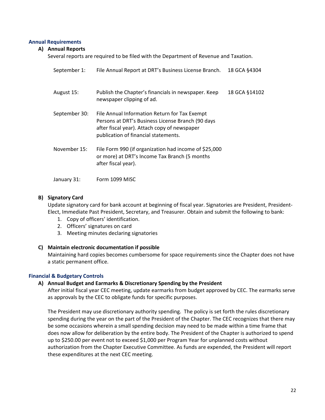#### **Annual Requirements**

#### **A) Annual Reports**

Several reports are required to be filed with the Department of Revenue and Taxation.

| September 1:  | File Annual Report at DRT's Business License Branch.                                                                                                                                       | 18 GCA §4304  |
|---------------|--------------------------------------------------------------------------------------------------------------------------------------------------------------------------------------------|---------------|
| August 15:    | Publish the Chapter's financials in newspaper. Keep<br>newspaper clipping of ad.                                                                                                           | 18 GCA §14102 |
| September 30: | File Annual Information Return for Tax Exempt<br>Persons at DRT's Business License Branch (90 days<br>after fiscal year). Attach copy of newspaper<br>publication of financial statements. |               |
| November 15:  | File Form 990 (if organization had income of \$25,000<br>or more) at DRT's Income Tax Branch (5 months<br>after fiscal year).                                                              |               |
| January 31:   | Form 1099 MISC                                                                                                                                                                             |               |

#### **B) Signatory Card**

Update signatory card for bank account at beginning of fiscal year. Signatories are President, President‐ Elect, Immediate Past President, Secretary, and Treasurer. Obtain and submit the following to bank:

- 1. Copy of officers' identification.
- 2. Officers' signatures on card
- 3. Meeting minutes declaring signatories

#### **C) Maintain electronic documentation if possible**

Maintaining hard copies becomes cumbersome for space requirements since the Chapter does not have a static permanent office.

#### **Financial & Budgetary Controls**

#### **A) Annual Budget and Earmarks & Discretionary Spending by the President**

After initial fiscal year CEC meeting, update earmarks from budget approved by CEC. The earmarks serve as approvals by the CEC to obligate funds for specific purposes.

The President may use discretionary authority spending. The policy is set forth the rules discretionary spending during the year on the part of the President of the Chapter. The CEC recognizes that there may be some occasions wherein a small spending decision may need to be made within a time frame that does now allow for deliberation by the entire body. The President of the Chapter is authorized to spend up to \$250.00 per event not to exceed \$1,000 per Program Year for unplanned costs without authorization from the Chapter Executive Committee. As funds are expended, the President will report these expenditures at the next CEC meeting.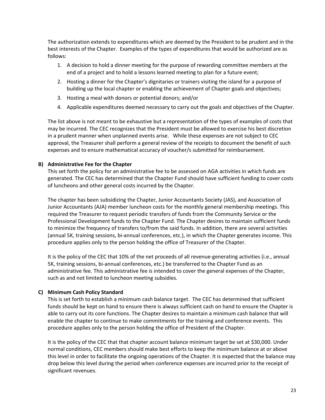The authorization extends to expenditures which are deemed by the President to be prudent and in the best interests of the Chapter. Examples of the types of expenditures that would be authorized are as follows:

- 1. A decision to hold a dinner meeting for the purpose of rewarding committee members at the end of a project and to hold a lessons learned meeting to plan for a future event;
- 2. Hosting a dinner for the Chapter's dignitaries or trainers visiting the island for a purpose of building up the local chapter or enabling the achievement of Chapter goals and objectives;
- 3. Hosting a meal with donors or potential donors; and/or
- 4. Applicable expenditures deemed necessary to carry out the goals and objectives of the Chapter.

The list above is not meant to be exhaustive but a representation of the types of examples of costs that may be incurred. The CEC recognizes that the President must be allowed to exercise his best discretion in a prudent manner when unplanned events arise. While these expenses are not subject to CEC approval, the Treasurer shall perform a general review of the receipts to document the benefit of such expenses and to ensure mathematical accuracy of voucher/s submitted for reimbursement.

#### **B) Administrative Fee for the Chapter**

This set forth the policy for an administrative fee to be assessed on AGA activities in which funds are generated. The CEC has determined that the Chapter Fund should have sufficient funding to cover costs of luncheons and other general costs incurred by the Chapter.

The chapter has been subsidizing the Chapter, Junior Accountants Society (JAS), and Association of Junior Accountants (AJA) member luncheon costs for the monthly general membership meetings. This required the Treasurer to request periodic transfers of funds from the Community Service or the Professional Development funds to the Chapter Fund. The Chapter desires to maintain sufficient funds to minimize the frequency of transfers to/from the said funds. In addition, there are several activities (annual 5K, training sessions, bi‐annual conferences, etc.), in which the Chapter generates income. This procedure applies only to the person holding the office of Treasurer of the Chapter.

It is the policy of the CEC that 10% of the net proceeds of all revenue‐generating activities (i.e., annual 5K, training sessions, bi-annual conferences, etc.) be transferred to the Chapter Fund as an administrative fee. This administrative fee is intended to cover the general expenses of the Chapter, such as and not limited to luncheon meeting subsidies.

#### **C) Minimum Cash Policy Standard**

This is set forth to establish a minimum cash balance target. The CEC has determined that sufficient funds should be kept on hand to ensure there is always sufficient cash on hand to ensure the Chapter is able to carry out its core functions. The Chapter desires to maintain a minimum cash balance that will enable the chapter to continue to make commitments for the training and conference events. This procedure applies only to the person holding the office of President of the Chapter.

It is the policy of the CEC that that chapter account balance minimum target be set at \$30,000. Under normal conditions, CEC members should make best efforts to keep the minimum balance at or above this level in order to facilitate the ongoing operations of the Chapter. It is expected that the balance may drop below this level during the period when conference expenses are incurred prior to the receipt of significant revenues.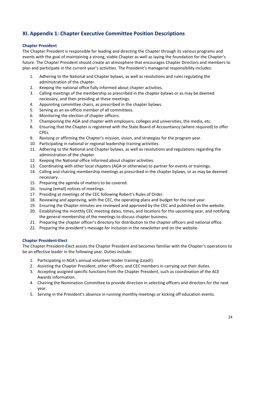## **XI. Appendix 1: Chapter Executive Committee Position Descriptions**

#### **Chapter President**

The Chapter President is responsible for leading and directing the Chapter through its various programs and events with the goal of maintaining a strong, viable Chapter as well as laying the foundation for the Chapter's future. The Chapter President should create an atmosphere that encourages Chapter Directors and members to plan and participate in the current year's activities. The President's managerial responsibility includes:

- 1. Adhering to the National and Chapter bylaws, as well as resolutions and rules regulating the administration of the chapter.
- 2. Keeping the national office fully informed about chapter activities.
- 3. Calling meetings of the membership as prescribed in the chapter bylaws or as may be deemed necessary, and then presiding at these meetings.
- 4. Appointing committee chairs, as prescribed in the chapter bylaws.
- 5. Serving as an ex-officio member of all committees.
- 6. Monitoring the election of chapter officers.
- 7. Championing the AGA and chapter with employers, colleges and universities, the media, etc.
- 8. Ensuring that the Chapter is registered with the State Board of Accountancy (where required) to offer CPEs.
- 9. Revising or affirming the Chapter's mission, vision, and strategies for the program year.
- 10. Participating in national or regional leadership training activities.
- 11. Adhering to the National and Chapter bylaws, as well as resolutions and regulations regarding the administration of the chapter.
- 12. Keeping the National office informed about chapter activities.
- 13. Coordinating with other local chapters (AGA or otherwise) to partner for events or trainings.
- 14. Calling and chairing membership meetings as prescribed in the chapter bylaws, or as may be deemed necessary.
- 15. Preparing the agenda of matters to be covered.
- 16. Issuing (email) notices of meetings.
- 17. Presiding at meetings of the CEC following Robert's Rules of Order.
- 18. Reviewing and approving, with the CEC, the operating plans and budget for the next year.
- 19. Ensuring the Chapter minutes are reviewed and approved by the CEC and published on the website.
- 20. Establishing the monthly CEC meeting dates, times, and locations for the upcoming year, and notifying the general membership of the meetings to discuss chapter business.
- 21. Preparing the chapter officer's directory for distribution to the chapter officers and national office.
- 22. Preparing the president's message for inclusion in the newsletter and on the website.

#### **Chapter President‐Elect**

The Chapter President‐Elect assists the Chapter President and becomes familiar with the Chapter's operations to be an effective leader in the following year. Duties include:

- 1. Participating in AGA's annual volunteer leader training (Lead!).
- 2. Assisting the Chapter President, other officers, and CEC members in carrying out their duties.
- 3. Accepting assigned specific functions from the Chapter President, such as coordination of the ACE Awards information.
- 4. Chairing the Nomination Committee to provide direction in selecting officers and directors for the next year.
- 5. Serving in the President's absence in running monthly meetings or kicking off education events.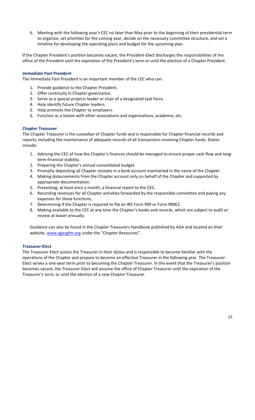6. Meeting with the following year's CEC no later than May prior to the beginning of their presidential term to organize, set priorities for the coming year, decide on the necessary committee structure, and set a timeline for developing the operating plans and budget for the upcoming year.

If the Chapter President's position becomes vacant, the President‐Elect discharges the responsibilities of the office of the President until the expiration of the President's term or until the election of a Chapter President.

#### **Immediate Past President**

The Immediate Past President is an important member of the CEC who can:

- 1. Provide guidance to the Chapter President.
- 2. Offer continuity in Chapter governance.
- 3. Serve as a special projects leader or chair of a designated task force.
- 4. Help identify future Chapter leaders.
- 5. Help promote the Chapter to employers.
- 6. Function as a liaison with other associations and organizations, academia, etc.

#### **Chapter Treasurer**

The Chapter Treasurer is the custodian of Chapter funds and is responsible for Chapter financial records and reports, including the maintenance of adequate records of all transactions involving Chapter funds. Duties include:

- 1. Advising the CEC of how the Chapter's finances should be managed to ensure proper cash flow and long‐ term financial stability.
- 2. Preparing the Chapter's annual consolidated budget.
- 3. Promptly depositing all Chapter receipts in a bank account maintained in the name of the Chapter.
- 4. Making disbursements from the Chapter account only on behalf of the Chapter and supported by appropriate documentation.
- 5. Presenting, at least once a month, a financial report to the CEC.
- 6. Recording revenues for all Chapter activities forwarded by the responsible committee and paying any expenses for these functions.
- 7. Determining if the Chapter is required to file an IRS Form 990 or Form 990EZ.
- 8. Making available to the CEC at any time the Chapter's books and records, which are subject to audit or review at leaser annually.

Guidance can also be found in the Chapter Treasurers Handbook published by AGA and located on their website, www.agacgfm.org under the "Chapter Resources".

#### **Treasurer‐Elect**

The Treasurer‐Elect assists the Treasurer in their duties and is responsible to become familiar with the operations of the Chapter and prepare to become an effective Treasurer in the following year. The Treasurer‐ Elect serves a one‐year term prior to becoming the Chapter Treasurer. In the event that the Treasurer's position becomes vacant, the Treasurer‐Elect will assume the office of Chapter Treasurer until the expiration of the Treasurer's term, or until the election of a new Chapter Treasurer.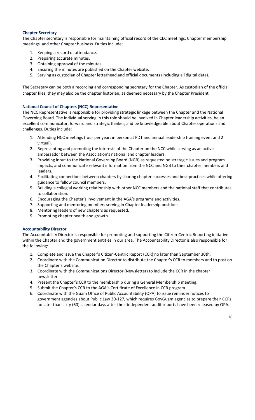#### **Chapter Secretary**

The Chapter secretary is responsible for maintaining official record of the CEC meetings, Chapter membership meetings, and other Chapter business. Duties include:

- 1. Keeping a record of attendance.
- 2. Preparing accurate minutes.
- 3. Obtaining approval of the minutes.
- 4. Ensuring the minutes are published on the Chapter website.
- 5. Serving as custodian of Chapter letterhead and official documents (including all digital data).

The Secretary can be both a recording and corresponding secretary for the Chapter. As custodian of the official chapter files, they may also be the chapter historian, as deemed necessary by the Chapter President.

#### **National Council of Chapters (NCC) Representative**

The NCC Representative is responsible for providing strategic linkage between the Chapter and the National Governing Board. The individual serving in this role should be involved in Chapter leadership activities, be an excellent communicator, forward and strategic thinker, and be knowledgeable about Chapter operations and challenges. Duties include:

- 1. Attending NCC meetings (four per year: in person at PDT and annual leadership training event and 2 virtual).
- 2. Representing and promoting the interests of the Chapter on the NCC while serving as an active ambassador between the Association's national and chapter leaders.
- 3. Providing input to the National Governing Board (NGB) as requested on strategic issues and program impacts, and communicate relevant information from the NCC and NGB to their chapter members and leaders.
- 4. Facilitating connections between chapters by sharing chapter successes and best practices while offering guidance to fellow council members.
- 5. Building a collegial working relationship with other NCC members and the national staff that contributes to collaboration.
- 6. Encouraging the Chapter's involvement in the AGA's programs and activities.
- 7. Supporting and mentoring members serving in Chapter leadership positions.
- 8. Mentoring leaders of new chapters as requested.
- 9. Promoting chapter health and growth.

#### **Accountability Director**

The Accountability Director is responsible for promoting and supporting the Citizen‐Centric Reporting initiative within the Chapter and the government entities in our area. The Accountability Director is also responsible for the following:

- 1. Complete and issue the Chapter's Citizen‐Centric Report (CCR) no later than September 30th.
- 2. Coordinate with the Communication Director to distribute the Chapter's CCR to members and to post on the Chapter's website.
- 3. Coordinate with the Communications Director (Newsletter) to include the CCR in the chapter newsletter.
- 4. Present the Chapter's CCR to the membership during a General Membership meeting.
- 5. Submit the Chapter's CCR to the AGA's Certificate of Excellence in CCR program.
- 6. Coordinate with the Guam Office of Public Accountability (OPA) to issue reminder notices to government agencies about Public Law 30‐127, which requires GovGuam agencies to prepare their CCRs no later than sixty (60) calendar days after their independent audit reports have been released by OPA.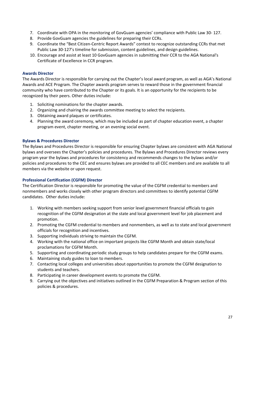- 7. Coordinate with OPA in the monitoring of GovGuam agencies' compliance with Public Law 30‐ 127.
- 8. Provide GovGuam agencies the guidelines for preparing their CCRs.
- 9. Coordinate the "Best Citizen-Centric Report Awards" contest to recognize outstanding CCRs that met Public Law 30‐127's timeline for submission, content guidelines, and design guidelines.
- 10. Encourage and assist at least 10 GovGuam agencies in submitting their CCR to the AGA National's Certificate of Excellence in CCR program.

#### **Awards Director**

The Awards Director is responsible for carrying out the Chapter's local award program, as well as AGA's National Awards and ACE Program. The Chapter awards program serves to reward those in the government financial community who have contributed to the Chapter or its goals. It is an opportunity for the recipients to be recognized by their peers. Other duties include:

- 1. Soliciting nominations for the chapter awards.
- 2. Organizing and chairing the awards committee meeting to select the recipients.
- 3. Obtaining award plaques or certificates.
- 4. Planning the award ceremony, which may be included as part of chapter education event, a chapter program event, chapter meeting, or an evening social event.

#### **Bylaws & Procedures Director**

The Bylaws and Procedures Director is responsible for ensuring Chapter bylaws are consistent with AGA National bylaws and oversees the Chapter's policies and procedures. The Bylaws and Procedures Director reviews every program year the bylaws and procedures for consistency and recommends changes to the bylaws and/or policies and procedures to the CEC and ensures bylaws are provided to all CEC members and are available to all members via the website or upon request.

#### **Professional Certification (CGFM) Director**

The Certification Director is responsible for promoting the value of the CGFM credential to members and nonmembers and works closely with other program directors and committees to identify potential CGFM candidates. Other duties include:

- 1. Working with members seeking support from senior level government financial officials to gain recognition of the CGFM designation at the state and local government level for job placement and promotion.
- 2. Promoting the CGFM credential to members and nonmembers, as well as to state and local government officials for recognition and incentives.
- 3. Supporting individuals striving to maintain the CGFM.
- 4. Working with the national office on important projects like CGFM Month and obtain state/local proclamations for CGFM Month.
- 5. Supporting and coordinating periodic study groups to help candidates prepare for the CGFM exams.
- 6. Maintaining study guides to loan to members.
- 7. Contacting local colleges and universities about opportunities to promote the CGFM designation to students and teachers.
- 8. Participating in career development events to promote the CGFM.
- 9. Carrying out the objectives and initiatives outlined in the CGFM Preparation & Program section of this policies & procedures.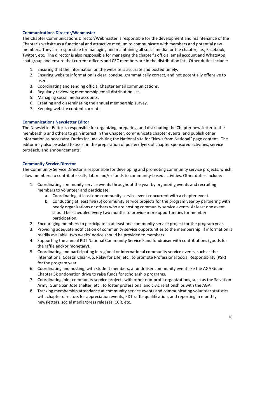#### **Communications Director/Webmaster**

The Chapter Communications Director/Webmaster is responsible for the development and maintenance of the Chapter's website as a functional and attractive medium to communicate with members and potential new members. They are responsible for managing and maintaining all social media for the chapter, i.e., Facebook, Twitter, etc. The director is also responsible for managing the chapter's official email account and WhatsApp chat group and ensure that current officers and CEC members are in the distribution list. Other duties include:

- 1. Ensuring that the information on the website is accurate and posted timely.
- 2. Ensuring website information is clear, concise, grammatically correct, and not potentially offensive to users.
- 3. Coordinating and sending official Chapter email communications.
- 4. Regularly reviewing membership email distribution list.
- 5. Managing social media accounts.
- 6. Creating and disseminating the annual membership survey.
- 7. Keeping website content current.

#### **Communications Newsletter Editor**

The Newsletter Editor is responsible for organizing, preparing, and distributing the Chapter newsletter to the membership and others to gain interest in the Chapter, communicate chapter events, and publish other information as necessary. Duties include visiting the National site for "News from National" page content. The editor may also be asked to assist in the preparation of poster/flyers of chapter sponsored activities, service outreach, and announcements.

#### **Community Service Director**

The Community Service Director is responsible for developing and promoting community service projects, which allow members to contribute skills, labor and/or funds to community‐based activities. Other duties include:

- 1. Coordinating community service events throughout the year by organizing events and recruiting members to volunteer and participate.
	- a. Coordinating at least one community service event concurrent with a chapter event.
	- b. Conducting at least five (5) community service projects for the program year by partnering with needy organizations or others who are hosting community service events. At least one event should be scheduled every two months to provide more opportunities for member participation.
- 2. Encouraging members to participate in at least one community service project for the program year.
- 3. Providing adequate notification of community service opportunities to the membership. If information is readily available, two weeks' notice should be provided to members.
- 4. Supporting the annual PDT National Community Service Fund fundraiser with contributions (goods for the raffle and/or monetary).
- 5. Coordinating and participating in regional or international community service events, such as the International Coastal Clean‐up, Relay for Life, etc., to promote Professional Social Responsibility (PSR) for the program year.
- 6. Coordinating and hosting, with student members, a fundraiser community event like the AGA Guam Chapter 5k or donation drive to raise funds for scholarship programs.
- 7. Coordinating joint community service projects with other non‐profit organizations, such as the Salvation Army, Guma San Jose shelter, etc., to foster professional and civic relationships with the AGA.
- 8. Tracking membership attendance at community service events and communicating volunteer statistics with chapter directors for appreciation events, PDT raffle qualification, and reporting in monthly newsletters, social media/press releases, CCR, etc.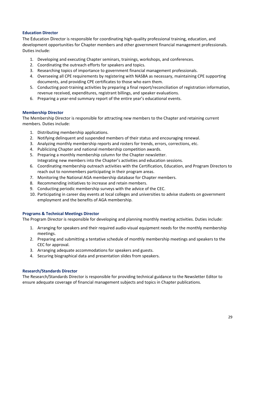#### **Education Director**

The Education Director is responsible for coordinating high‐quality professional training, education, and development opportunities for Chapter members and other government financial management professionals. Duties include:

- 1. Developing and executing Chapter seminars, trainings, workshops, and conferences.
- 2. Coordinating the outreach efforts for speakers and topics.
- 3. Researching topics of importance to government financial management professionals.
- 4. Overseeing all CPE requirements by registering with NASBA as necessary, maintaining CPE supporting documents, and providing CPE certificates to those who earn them.
- 5. Conducting post‐training activities by preparing a final report/reconciliation of registration information, revenue received, expenditures, registrant billings, and speaker evaluations.
- 6. Preparing a year‐end summary report of the entire year's educational events.

#### **Membership Director**

The Membership Director is responsible for attracting new members to the Chapter and retaining current members. Duties include:

- 1. Distributing membership applications.
- 2. Notifying delinquent and suspended members of their status and encouraging renewal.
- 3. Analyzing monthly membership reports and rosters for trends, errors, corrections, etc.
- 4. Publicizing Chapter and national membership competition awards.
- 5. Preparing a monthly membership column for the Chapter newsletter. Integrating new members into the Chapter's activities and education sessions.
- 6. Coordinating membership outreach activities with the Certification, Education, and Program Directors to reach out to nonmembers participating in their program areas.
- 7. Monitoring the National AGA membership database for Chapter members.
- 8. Recommending initiatives to increase and retain members.
- 9. Conducting periodic membership surveys with the advice of the CEC.
- 10. Participating in career day events at local colleges and universities to advise students on government employment and the benefits of AGA membership.

#### **Programs & Technical Meetings Director**

The Program Director is responsible for developing and planning monthly meeting activities. Duties include:

- 1. Arranging for speakers and their required audio‐visual equipment needs for the monthly membership meetings.
- 2. Preparing and submitting a tentative schedule of monthly membership meetings and speakers to the CEC for approval.
- 3. Arranging adequate accommodations for speakers and guests.
- 4. Securing biographical data and presentation slides from speakers.

#### **Research/Standards Director**

The Research/Standards Director is responsible for providing technical guidance to the Newsletter Editor to ensure adequate coverage of financial management subjects and topics in Chapter publications.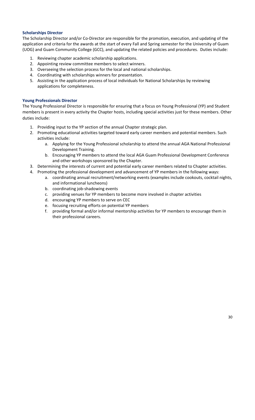#### **Scholarships Director**

The Scholarship Director and/or Co‐Director are responsible for the promotion, execution, and updating of the application and criteria for the awards at the start of every Fall and Spring semester for the University of Guam (UOG) and Guam Community College (GCC), and updating the related policies and procedures. Duties include:

- 1. Reviewing chapter academic scholarship applications.
- 2. Appointing review committee members to select winners.
- 3. Overseeing the selection process for the local and national scholarships.
- 4. Coordinating with scholarships winners for presentation.
- 5. Assisting in the application process of local individuals for National Scholarships by reviewing applications for completeness.

#### **Young Professionals Director**

The Young Professional Director is responsible for ensuring that a focus on Young Professional (YP) and Student members is present in every activity the Chapter hosts, including special activities just for these members. Other duties include:

- 1. Providing input to the YP section of the annual Chapter strategic plan.
- 2. Promoting educational activities targeted toward early career members and potential members. Such activities include:
	- a. Applying for the Young Professional scholarship to attend the annual AGA National Professional Development Training.
	- b. Encouraging YP members to attend the local AGA Guam Professional Development Conference and other workshops sponsored by the Chapter.
- 3. Determining the interests of current and potential early career members related to Chapter activities.
- 4. Promoting the professional development and advancement of YP members in the following ways:
	- a. coordinating annual recruitment/networking events (examples include cookouts, cocktail nights, and informational luncheons)
	- b. coordinating job‐shadowing events
	- c. providing venues for YP members to become more involved in chapter activities
	- d. encouraging YP members to serve on CEC
	- e. focusing recruiting efforts on potential YP members
	- f. providing formal and/or informal mentorship activities for YP members to encourage them in their professional careers.